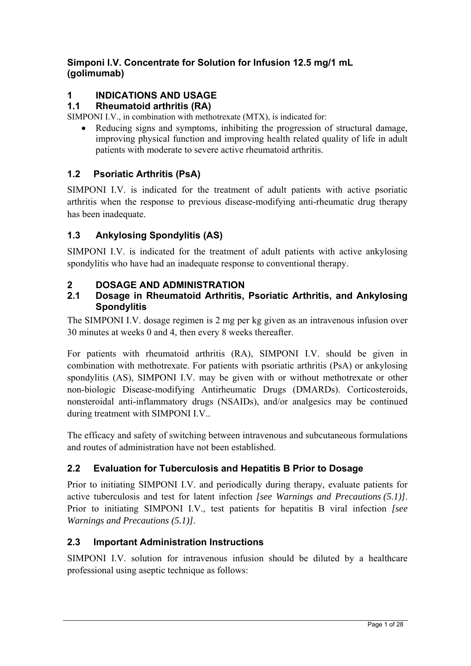## **Simponi I.V. Concentrate for Solution for Infusion 12.5 mg/1 mL (golimumab)**

# **1 INDICATIONS AND USAGE**

## **1.1 Rheumatoid arthritis (RA)**

SIMPONI I.V., in combination with methotrexate (MTX), is indicated for:

 Reducing signs and symptoms, inhibiting the progression of structural damage, improving physical function and improving health related quality of life in adult patients with moderate to severe active rheumatoid arthritis.

## **1.2 Psoriatic Arthritis (PsA)**

SIMPONI I.V. is indicated for the treatment of adult patients with active psoriatic arthritis when the response to previous disease-modifying anti-rheumatic drug therapy has been inadequate.

## **1.3 Ankylosing Spondylitis (AS)**

SIMPONI I.V. is indicated for the treatment of adult patients with active ankylosing spondylitis who have had an inadequate response to conventional therapy.

## **2 DOSAGE AND ADMINISTRATION**

#### **2.1 Dosage in Rheumatoid Arthritis, Psoriatic Arthritis, and Ankylosing Spondylitis**

The SIMPONI I.V. dosage regimen is 2 mg per kg given as an intravenous infusion over 30 minutes at weeks 0 and 4, then every 8 weeks thereafter.

For patients with rheumatoid arthritis (RA), SIMPONI I.V. should be given in combination with methotrexate. For patients with psoriatic arthritis (PsA) or ankylosing spondylitis (AS), SIMPONI I.V. may be given with or without methotrexate or other non-biologic Disease-modifying Antirheumatic Drugs (DMARDs). Corticosteroids, nonsteroidal anti-inflammatory drugs (NSAIDs), and/or analgesics may be continued during treatment with SIMPONI I.V..

The efficacy and safety of switching between intravenous and subcutaneous formulations and routes of administration have not been established.

## **2.2 Evaluation for Tuberculosis and Hepatitis B Prior to Dosage**

Prior to initiating SIMPONI I.V. and periodically during therapy, evaluate patients for active tuberculosis and test for latent infection *[see Warnings and Precautions (5.1)]*. Prior to initiating SIMPONI I.V., test patients for hepatitis B viral infection *[see Warnings and Precautions (5.1)]*.

## **2.3 Important Administration Instructions**

SIMPONI I.V. solution for intravenous infusion should be diluted by a healthcare professional using aseptic technique as follows: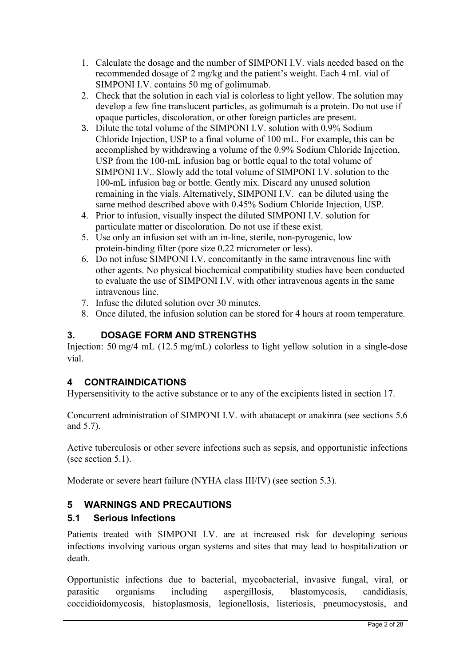- 1. Calculate the dosage and the number of SIMPONI I.V. vials needed based on the recommended dosage of 2 mg/kg and the patient's weight. Each 4 mL vial of SIMPONI I.V. contains 50 mg of golimumab.
- 2. Check that the solution in each vial is colorless to light yellow. The solution may develop a few fine translucent particles, as golimumab is a protein. Do not use if opaque particles, discoloration, or other foreign particles are present.
- 3. Dilute the total volume of the SIMPONI I.V. solution with 0.9% Sodium Chloride Injection, USP to a final volume of 100 mL. For example, this can be accomplished by withdrawing a volume of the 0.9% Sodium Chloride Injection, USP from the 100-mL infusion bag or bottle equal to the total volume of SIMPONI I.V.. Slowly add the total volume of SIMPONI I.V. solution to the 100-mL infusion bag or bottle. Gently mix. Discard any unused solution remaining in the vials. Alternatively, SIMPONI I.V. can be diluted using the same method described above with 0.45% Sodium Chloride Injection, USP.
- 4. Prior to infusion, visually inspect the diluted SIMPONI I.V. solution for particulate matter or discoloration. Do not use if these exist.
- 5. Use only an infusion set with an in-line, sterile, non-pyrogenic, low protein-binding filter (pore size 0.22 micrometer or less).
- 6. Do not infuse SIMPONI I.V. concomitantly in the same intravenous line with other agents. No physical biochemical compatibility studies have been conducted to evaluate the use of SIMPONI I.V. with other intravenous agents in the same intravenous line.
- 7. Infuse the diluted solution over 30 minutes.
- 8. Once diluted, the infusion solution can be stored for 4 hours at room temperature.

## **3. DOSAGE FORM AND STRENGTHS**

Injection: 50 mg/4 mL (12.5 mg/mL) colorless to light yellow solution in a single-dose vial.

## **4 CONTRAINDICATIONS**

Hypersensitivity to the active substance or to any of the excipients listed in section 17.

Concurrent administration of SIMPONI I.V. with abatacept or anakinra (see sections 5.6 and 5.7).

Active tuberculosis or other severe infections such as sepsis, and opportunistic infections (see section 5.1).

Moderate or severe heart failure (NYHA class III/IV) (see section 5.3).

## **5 WARNINGS AND PRECAUTIONS**

## **5.1 Serious Infections**

Patients treated with SIMPONI I.V. are at increased risk for developing serious infections involving various organ systems and sites that may lead to hospitalization or death.

Opportunistic infections due to bacterial, mycobacterial, invasive fungal, viral, or parasitic organisms including aspergillosis, blastomycosis, candidiasis, coccidioidomycosis, histoplasmosis, legionellosis, listeriosis, pneumocystosis, and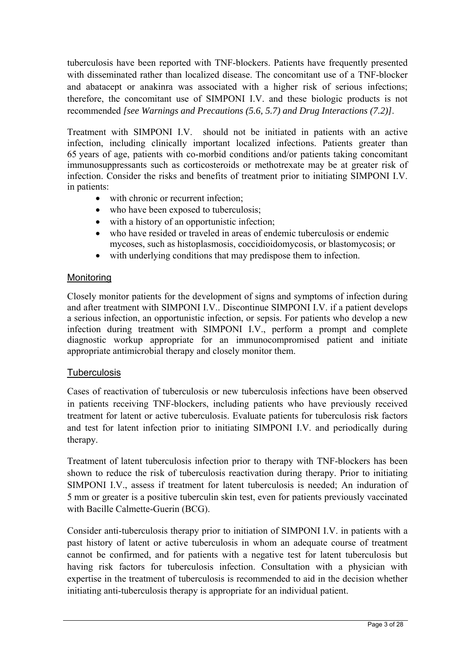tuberculosis have been reported with TNF-blockers. Patients have frequently presented with disseminated rather than localized disease. The concomitant use of a TNF-blocker and abatacept or anakinra was associated with a higher risk of serious infections; therefore, the concomitant use of SIMPONI I.V. and these biologic products is not recommended *[see Warnings and Precautions (5.6, 5.7) and Drug Interactions (7.2)]*.

Treatment with SIMPONI I.V. should not be initiated in patients with an active infection, including clinically important localized infections. Patients greater than 65 years of age, patients with co-morbid conditions and/or patients taking concomitant immunosuppressants such as corticosteroids or methotrexate may be at greater risk of infection. Consider the risks and benefits of treatment prior to initiating SIMPONI I.V. in patients:

- with chronic or recurrent infection:
- who have been exposed to tuberculosis;
- with a history of an opportunistic infection;
- who have resided or traveled in areas of endemic tuberculosis or endemic mycoses, such as histoplasmosis, coccidioidomycosis, or blastomycosis; or
- with underlying conditions that may predispose them to infection.

## Monitoring

Closely monitor patients for the development of signs and symptoms of infection during and after treatment with SIMPONI I.V.. Discontinue SIMPONI I.V. if a patient develops a serious infection, an opportunistic infection, or sepsis. For patients who develop a new infection during treatment with SIMPONI I.V., perform a prompt and complete diagnostic workup appropriate for an immunocompromised patient and initiate appropriate antimicrobial therapy and closely monitor them.

## **Tuberculosis**

Cases of reactivation of tuberculosis or new tuberculosis infections have been observed in patients receiving TNF-blockers, including patients who have previously received treatment for latent or active tuberculosis. Evaluate patients for tuberculosis risk factors and test for latent infection prior to initiating SIMPONI I.V. and periodically during therapy.

Treatment of latent tuberculosis infection prior to therapy with TNF-blockers has been shown to reduce the risk of tuberculosis reactivation during therapy. Prior to initiating SIMPONI I.V., assess if treatment for latent tuberculosis is needed; An induration of 5 mm or greater is a positive tuberculin skin test, even for patients previously vaccinated with Bacille Calmette-Guerin (BCG).

Consider anti-tuberculosis therapy prior to initiation of SIMPONI I.V. in patients with a past history of latent or active tuberculosis in whom an adequate course of treatment cannot be confirmed, and for patients with a negative test for latent tuberculosis but having risk factors for tuberculosis infection. Consultation with a physician with expertise in the treatment of tuberculosis is recommended to aid in the decision whether initiating anti-tuberculosis therapy is appropriate for an individual patient.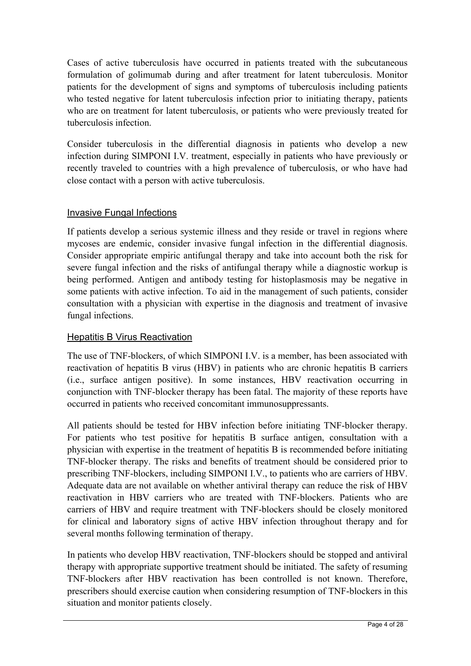Cases of active tuberculosis have occurred in patients treated with the subcutaneous formulation of golimumab during and after treatment for latent tuberculosis. Monitor patients for the development of signs and symptoms of tuberculosis including patients who tested negative for latent tuberculosis infection prior to initiating therapy, patients who are on treatment for latent tuberculosis, or patients who were previously treated for tuberculosis infection.

Consider tuberculosis in the differential diagnosis in patients who develop a new infection during SIMPONI I.V. treatment, especially in patients who have previously or recently traveled to countries with a high prevalence of tuberculosis, or who have had close contact with a person with active tuberculosis.

## Invasive Fungal Infections

If patients develop a serious systemic illness and they reside or travel in regions where mycoses are endemic, consider invasive fungal infection in the differential diagnosis. Consider appropriate empiric antifungal therapy and take into account both the risk for severe fungal infection and the risks of antifungal therapy while a diagnostic workup is being performed. Antigen and antibody testing for histoplasmosis may be negative in some patients with active infection. To aid in the management of such patients, consider consultation with a physician with expertise in the diagnosis and treatment of invasive fungal infections.

## **Hepatitis B Virus Reactivation**

The use of TNF-blockers, of which SIMPONI I.V. is a member, has been associated with reactivation of hepatitis B virus (HBV) in patients who are chronic hepatitis B carriers (i.e., surface antigen positive). In some instances, HBV reactivation occurring in conjunction with TNF-blocker therapy has been fatal. The majority of these reports have occurred in patients who received concomitant immunosuppressants.

All patients should be tested for HBV infection before initiating TNF-blocker therapy. For patients who test positive for hepatitis B surface antigen, consultation with a physician with expertise in the treatment of hepatitis B is recommended before initiating TNF-blocker therapy. The risks and benefits of treatment should be considered prior to prescribing TNF-blockers, including SIMPONI I.V., to patients who are carriers of HBV. Adequate data are not available on whether antiviral therapy can reduce the risk of HBV reactivation in HBV carriers who are treated with TNF-blockers. Patients who are carriers of HBV and require treatment with TNF-blockers should be closely monitored for clinical and laboratory signs of active HBV infection throughout therapy and for several months following termination of therapy.

In patients who develop HBV reactivation, TNF-blockers should be stopped and antiviral therapy with appropriate supportive treatment should be initiated. The safety of resuming TNF-blockers after HBV reactivation has been controlled is not known. Therefore, prescribers should exercise caution when considering resumption of TNF-blockers in this situation and monitor patients closely.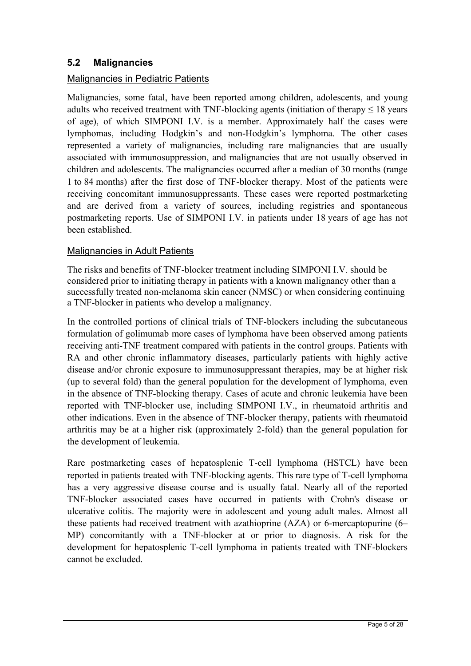## **5.2 Malignancies**

#### Malignancies in Pediatric Patients

Malignancies, some fatal, have been reported among children, adolescents, and young adults who received treatment with TNF-blocking agents (initiation of therapy  $\leq 18$  years of age), of which SIMPONI I.V. is a member. Approximately half the cases were lymphomas, including Hodgkin's and non-Hodgkin's lymphoma. The other cases represented a variety of malignancies, including rare malignancies that are usually associated with immunosuppression, and malignancies that are not usually observed in children and adolescents. The malignancies occurred after a median of 30 months (range 1 to 84 months) after the first dose of TNF-blocker therapy. Most of the patients were receiving concomitant immunosuppressants. These cases were reported postmarketing and are derived from a variety of sources, including registries and spontaneous postmarketing reports. Use of SIMPONI I.V. in patients under 18 years of age has not been established.

#### Malignancies in Adult Patients

The risks and benefits of TNF-blocker treatment including SIMPONI I.V. should be considered prior to initiating therapy in patients with a known malignancy other than a successfully treated non-melanoma skin cancer (NMSC) or when considering continuing a TNF-blocker in patients who develop a malignancy.

In the controlled portions of clinical trials of TNF-blockers including the subcutaneous formulation of golimumab more cases of lymphoma have been observed among patients receiving anti-TNF treatment compared with patients in the control groups. Patients with RA and other chronic inflammatory diseases, particularly patients with highly active disease and/or chronic exposure to immunosuppressant therapies, may be at higher risk (up to several fold) than the general population for the development of lymphoma, even in the absence of TNF-blocking therapy. Cases of acute and chronic leukemia have been reported with TNF-blocker use, including SIMPONI I.V., in rheumatoid arthritis and other indications. Even in the absence of TNF-blocker therapy, patients with rheumatoid arthritis may be at a higher risk (approximately 2-fold) than the general population for the development of leukemia.

Rare postmarketing cases of hepatosplenic T-cell lymphoma (HSTCL) have been reported in patients treated with TNF-blocking agents. This rare type of T-cell lymphoma has a very aggressive disease course and is usually fatal. Nearly all of the reported TNF-blocker associated cases have occurred in patients with Crohn's disease or ulcerative colitis. The majority were in adolescent and young adult males. Almost all these patients had received treatment with azathioprine (AZA) or 6-mercaptopurine (6– MP) concomitantly with a TNF-blocker at or prior to diagnosis. A risk for the development for hepatosplenic T-cell lymphoma in patients treated with TNF-blockers cannot be excluded.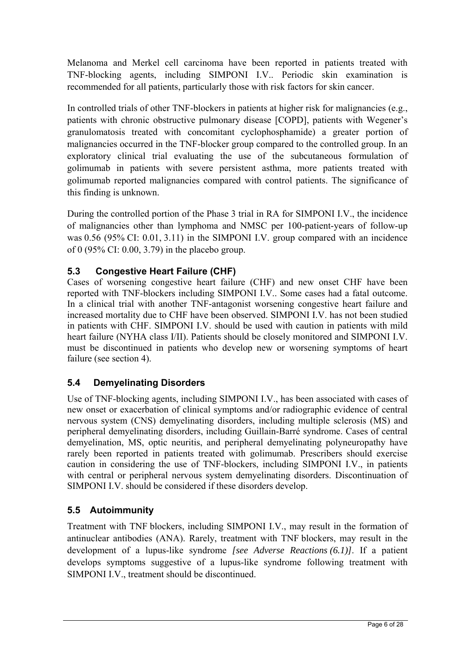Melanoma and Merkel cell carcinoma have been reported in patients treated with TNF-blocking agents, including SIMPONI I.V.. Periodic skin examination is recommended for all patients, particularly those with risk factors for skin cancer.

In controlled trials of other TNF-blockers in patients at higher risk for malignancies (e.g., patients with chronic obstructive pulmonary disease [COPD], patients with Wegener's granulomatosis treated with concomitant cyclophosphamide) a greater portion of malignancies occurred in the TNF-blocker group compared to the controlled group. In an exploratory clinical trial evaluating the use of the subcutaneous formulation of golimumab in patients with severe persistent asthma, more patients treated with golimumab reported malignancies compared with control patients. The significance of this finding is unknown.

During the controlled portion of the Phase 3 trial in RA for SIMPONI I.V., the incidence of malignancies other than lymphoma and NMSC per 100-patient-years of follow-up was 0.56 (95% CI: 0.01, 3.11) in the SIMPONI I.V. group compared with an incidence of 0 (95% CI: 0.00, 3.79) in the placebo group.

## **5.3 Congestive Heart Failure (CHF)**

Cases of worsening congestive heart failure (CHF) and new onset CHF have been reported with TNF-blockers including SIMPONI I.V.. Some cases had a fatal outcome. In a clinical trial with another TNF-antagonist worsening congestive heart failure and increased mortality due to CHF have been observed. SIMPONI I.V. has not been studied in patients with CHF. SIMPONI I.V. should be used with caution in patients with mild heart failure (NYHA class I/II). Patients should be closely monitored and SIMPONI I.V. must be discontinued in patients who develop new or worsening symptoms of heart failure (see section 4).

## **5.4 Demyelinating Disorders**

Use of TNF-blocking agents, including SIMPONI I.V., has been associated with cases of new onset or exacerbation of clinical symptoms and/or radiographic evidence of central nervous system (CNS) demyelinating disorders, including multiple sclerosis (MS) and peripheral demyelinating disorders, including Guillain-Barré syndrome. Cases of central demyelination, MS, optic neuritis, and peripheral demyelinating polyneuropathy have rarely been reported in patients treated with golimumab. Prescribers should exercise caution in considering the use of TNF-blockers, including SIMPONI I.V., in patients with central or peripheral nervous system demyelinating disorders. Discontinuation of SIMPONI I.V. should be considered if these disorders develop.

# **5.5 Autoimmunity**

Treatment with TNF blockers, including SIMPONI I.V., may result in the formation of antinuclear antibodies (ANA). Rarely, treatment with TNF blockers, may result in the development of a lupus-like syndrome *[see Adverse Reactions (6.1)]*. If a patient develops symptoms suggestive of a lupus-like syndrome following treatment with SIMPONI I.V., treatment should be discontinued.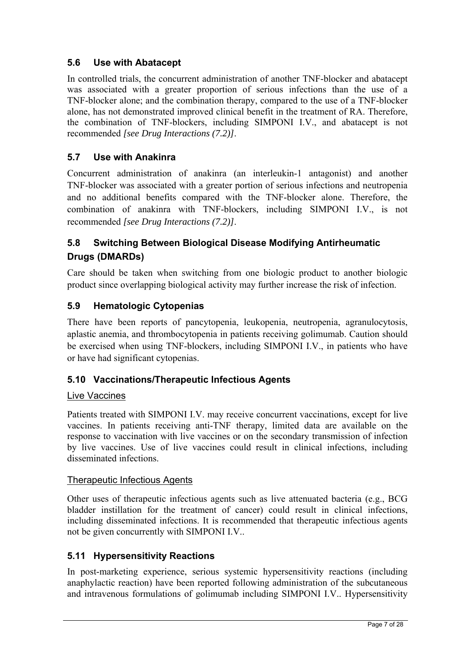## **5.6 Use with Abatacept**

In controlled trials, the concurrent administration of another TNF-blocker and abatacept was associated with a greater proportion of serious infections than the use of a TNF-blocker alone; and the combination therapy, compared to the use of a TNF-blocker alone, has not demonstrated improved clinical benefit in the treatment of RA. Therefore, the combination of TNF-blockers, including SIMPONI I.V., and abatacept is not recommended *[see Drug Interactions (7.2)]*.

## **5.7 Use with Anakinra**

Concurrent administration of anakinra (an interleukin-1 antagonist) and another TNF-blocker was associated with a greater portion of serious infections and neutropenia and no additional benefits compared with the TNF-blocker alone. Therefore, the combination of anakinra with TNF-blockers, including SIMPONI I.V., is not recommended *[see Drug Interactions (7.2)]*.

# **5.8 Switching Between Biological Disease Modifying Antirheumatic Drugs (DMARDs)**

Care should be taken when switching from one biologic product to another biologic product since overlapping biological activity may further increase the risk of infection.

## **5.9 Hematologic Cytopenias**

There have been reports of pancytopenia, leukopenia, neutropenia, agranulocytosis, aplastic anemia, and thrombocytopenia in patients receiving golimumab. Caution should be exercised when using TNF-blockers, including SIMPONI I.V., in patients who have or have had significant cytopenias.

## **5.10 Vaccinations/Therapeutic Infectious Agents**

## Live Vaccines

Patients treated with SIMPONI I.V. may receive concurrent vaccinations, except for live vaccines. In patients receiving anti-TNF therapy, limited data are available on the response to vaccination with live vaccines or on the secondary transmission of infection by live vaccines. Use of live vaccines could result in clinical infections, including disseminated infections.

#### Therapeutic Infectious Agents

Other uses of therapeutic infectious agents such as live attenuated bacteria (e.g., BCG bladder instillation for the treatment of cancer) could result in clinical infections, including disseminated infections. It is recommended that therapeutic infectious agents not be given concurrently with SIMPONI I.V..

## **5.11 Hypersensitivity Reactions**

In post-marketing experience, serious systemic hypersensitivity reactions (including anaphylactic reaction) have been reported following administration of the subcutaneous and intravenous formulations of golimumab including SIMPONI I.V.. Hypersensitivity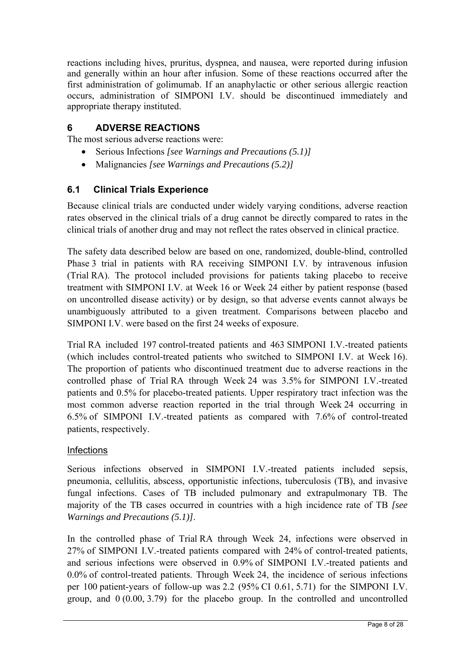reactions including hives, pruritus, dyspnea, and nausea, were reported during infusion and generally within an hour after infusion. Some of these reactions occurred after the first administration of golimumab. If an anaphylactic or other serious allergic reaction occurs, administration of SIMPONI I.V. should be discontinued immediately and appropriate therapy instituted.

## **6 ADVERSE REACTIONS**

The most serious adverse reactions were:

- Serious Infections *[see Warnings and Precautions (5.1)]*
- Malignancies *[see Warnings and Precautions (5.2)]*

## **6.1 Clinical Trials Experience**

Because clinical trials are conducted under widely varying conditions, adverse reaction rates observed in the clinical trials of a drug cannot be directly compared to rates in the clinical trials of another drug and may not reflect the rates observed in clinical practice.

The safety data described below are based on one, randomized, double-blind, controlled Phase 3 trial in patients with RA receiving SIMPONI I.V. by intravenous infusion (Trial RA). The protocol included provisions for patients taking placebo to receive treatment with SIMPONI I.V. at Week 16 or Week 24 either by patient response (based on uncontrolled disease activity) or by design, so that adverse events cannot always be unambiguously attributed to a given treatment. Comparisons between placebo and SIMPONI I.V. were based on the first 24 weeks of exposure.

Trial RA included 197 control-treated patients and 463 SIMPONI I.V.-treated patients (which includes control-treated patients who switched to SIMPONI I.V. at Week 16). The proportion of patients who discontinued treatment due to adverse reactions in the controlled phase of Trial RA through Week 24 was 3.5% for SIMPONI I.V.-treated patients and 0.5% for placebo-treated patients. Upper respiratory tract infection was the most common adverse reaction reported in the trial through Week 24 occurring in 6.5% of SIMPONI I.V.-treated patients as compared with 7.6% of control-treated patients, respectively.

#### **Infections**

Serious infections observed in SIMPONI I.V.-treated patients included sepsis, pneumonia, cellulitis, abscess, opportunistic infections, tuberculosis (TB), and invasive fungal infections. Cases of TB included pulmonary and extrapulmonary TB. The majority of the TB cases occurred in countries with a high incidence rate of TB *[see Warnings and Precautions (5.1)]*.

In the controlled phase of Trial RA through Week 24, infections were observed in 27% of SIMPONI I.V.-treated patients compared with 24% of control-treated patients, and serious infections were observed in 0.9% of SIMPONI I.V.-treated patients and 0.0% of control-treated patients. Through Week 24, the incidence of serious infections per 100 patient-years of follow-up was 2.2 (95% CI 0.61, 5.71) for the SIMPONI I.V. group, and 0 (0.00, 3.79) for the placebo group. In the controlled and uncontrolled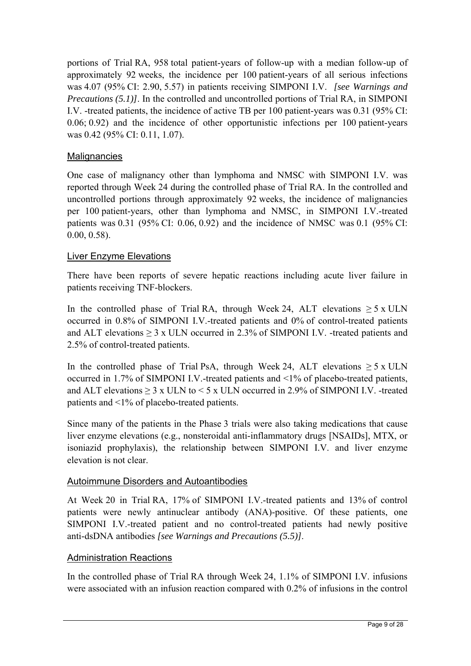portions of Trial RA, 958 total patient-years of follow-up with a median follow-up of approximately 92 weeks, the incidence per 100 patient-years of all serious infections was 4.07 (95% CI: 2.90, 5.57) in patients receiving SIMPONI I.V. *[see Warnings and Precautions (5.1)]*. In the controlled and uncontrolled portions of Trial RA, in SIMPONI I.V. -treated patients, the incidence of active TB per 100 patient-years was 0.31 (95% CI: 0.06; 0.92) and the incidence of other opportunistic infections per 100 patient-years was 0.42 (95% CI: 0.11, 1.07).

## **Malignancies**

One case of malignancy other than lymphoma and NMSC with SIMPONI I.V. was reported through Week 24 during the controlled phase of Trial RA. In the controlled and uncontrolled portions through approximately 92 weeks, the incidence of malignancies per 100 patient-years, other than lymphoma and NMSC, in SIMPONI I.V.-treated patients was 0.31 (95% CI: 0.06, 0.92) and the incidence of NMSC was 0.1 (95% CI: 0.00, 0.58).

## Liver Enzyme Elevations

There have been reports of severe hepatic reactions including acute liver failure in patients receiving TNF-blockers.

In the controlled phase of Trial RA, through Week 24, ALT elevations  $\geq 5$  x ULN occurred in 0.8% of SIMPONI I.V.-treated patients and 0% of control-treated patients and ALT elevations  $\geq 3$  x ULN occurred in 2.3% of SIMPONI I.V. -treated patients and 2.5% of control-treated patients.

In the controlled phase of Trial PsA, through Week 24, ALT elevations  $\geq 5$  x ULN occurred in 1.7% of SIMPONI I.V.-treated patients and <1% of placebo-treated patients, and ALT elevations  $\geq 3$  x ULN to  $\lt 5$  x ULN occurred in 2.9% of SIMPONI I.V. -treated patients and <1% of placebo-treated patients.

Since many of the patients in the Phase 3 trials were also taking medications that cause liver enzyme elevations (e.g., nonsteroidal anti-inflammatory drugs [NSAIDs], MTX, or isoniazid prophylaxis), the relationship between SIMPONI I.V. and liver enzyme elevation is not clear.

## Autoimmune Disorders and Autoantibodies

At Week 20 in Trial RA, 17% of SIMPONI I.V.-treated patients and 13% of control patients were newly antinuclear antibody (ANA)-positive. Of these patients, one SIMPONI I.V.-treated patient and no control-treated patients had newly positive anti-dsDNA antibodies *[see Warnings and Precautions (5.5)]*.

## Administration Reactions

In the controlled phase of Trial RA through Week 24, 1.1% of SIMPONI I.V. infusions were associated with an infusion reaction compared with 0.2% of infusions in the control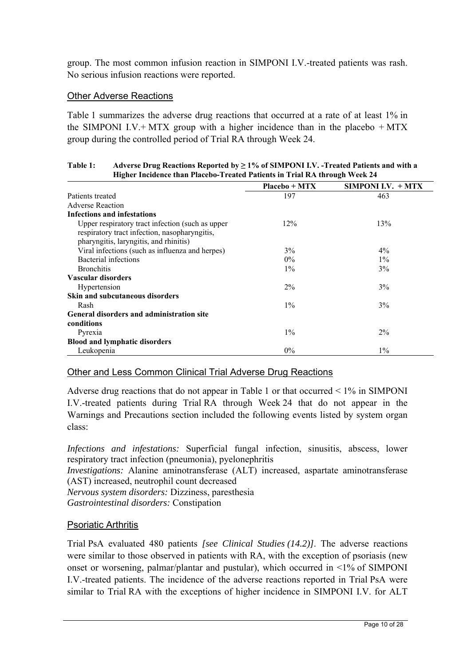group. The most common infusion reaction in SIMPONI I.V.-treated patients was rash. No serious infusion reactions were reported.

#### Other Adverse Reactions

Table 1 summarizes the adverse drug reactions that occurred at a rate of at least 1% in the SIMPONI I.V.+ MTX group with a higher incidence than in the placebo  $+$  MTX group during the controlled period of Trial RA through Week 24.

| Table 1: | Adverse Drug Reactions Reported by $\geq 1\%$ of SIMPONI I.V. -Treated Patients and with a |
|----------|--------------------------------------------------------------------------------------------|
|          | <b>Higher Incidence than Placebo-Treated Patients in Trial RA through Week 24</b>          |

|                                                  | $Placebo + MTX$ | <b>SIMPONI I.V. + MTX</b> |
|--------------------------------------------------|-----------------|---------------------------|
| Patients treated                                 | 197             | 463                       |
| Adverse Reaction                                 |                 |                           |
| <b>Infections and infestations</b>               |                 |                           |
| Upper respiratory tract infection (such as upper | 12%             | 13%                       |
| respiratory tract infection, nasopharyngitis,    |                 |                           |
| pharyngitis, laryngitis, and rhinitis)           |                 |                           |
| Viral infections (such as influenza and herpes)  | $3\%$           | $4\%$                     |
| Bacterial infections                             | $0\%$           | $1\%$                     |
| <b>Bronchitis</b>                                | $1\%$           | 3%                        |
| Vascular disorders                               |                 |                           |
| Hypertension                                     | $2\%$           | 3%                        |
| <b>Skin and subcutaneous disorders</b>           |                 |                           |
| Rash                                             | $1\%$           | 3%                        |
| General disorders and administration site        |                 |                           |
| conditions                                       |                 |                           |
| Pyrexia                                          | $1\%$           | $2\%$                     |
| <b>Blood and lymphatic disorders</b>             |                 |                           |
| Leukopenia                                       | $0\%$           | $1\%$                     |

## Other and Less Common Clinical Trial Adverse Drug Reactions

Adverse drug reactions that do not appear in Table 1 or that occurred  $\leq 1\%$  in SIMPONI I.V.-treated patients during Trial RA through Week 24 that do not appear in the Warnings and Precautions section included the following events listed by system organ class:

*Infections and infestations:* Superficial fungal infection, sinusitis, abscess, lower respiratory tract infection (pneumonia), pyelonephritis

*Investigations:* Alanine aminotransferase (ALT) increased, aspartate aminotransferase (AST) increased, neutrophil count decreased

*Nervous system disorders:* Dizziness, paresthesia *Gastrointestinal disorders:* Constipation

## Psoriatic Arthritis

Trial PsA evaluated 480 patients *[see Clinical Studies (14.2)]*. The adverse reactions were similar to those observed in patients with RA, with the exception of psoriasis (new onset or worsening, palmar/plantar and pustular), which occurred in <1% of SIMPONI I.V.-treated patients. The incidence of the adverse reactions reported in Trial PsA were similar to Trial RA with the exceptions of higher incidence in SIMPONI I.V. for ALT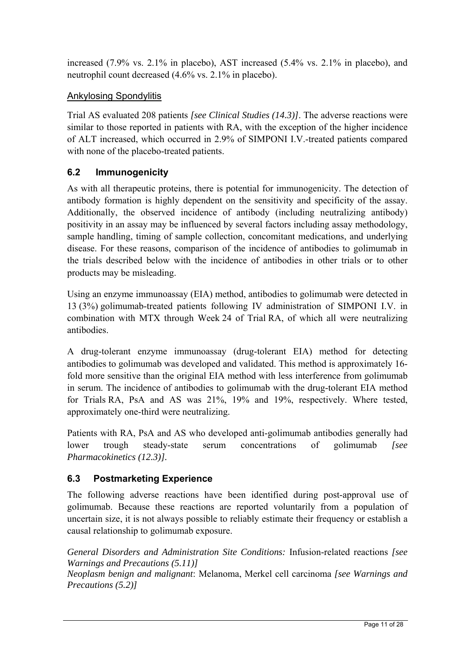increased (7.9% vs. 2.1% in placebo), AST increased (5.4% vs. 2.1% in placebo), and neutrophil count decreased (4.6% vs. 2.1% in placebo).

## Ankylosing Spondylitis

Trial AS evaluated 208 patients *[see Clinical Studies (14.3)]*. The adverse reactions were similar to those reported in patients with RA, with the exception of the higher incidence of ALT increased, which occurred in 2.9% of SIMPONI I.V.-treated patients compared with none of the placebo-treated patients.

## **6.2 Immunogenicity**

As with all therapeutic proteins, there is potential for immunogenicity. The detection of antibody formation is highly dependent on the sensitivity and specificity of the assay. Additionally, the observed incidence of antibody (including neutralizing antibody) positivity in an assay may be influenced by several factors including assay methodology, sample handling, timing of sample collection, concomitant medications, and underlying disease. For these reasons, comparison of the incidence of antibodies to golimumab in the trials described below with the incidence of antibodies in other trials or to other products may be misleading.

Using an enzyme immunoassay (EIA) method, antibodies to golimumab were detected in 13 (3%) golimumab-treated patients following IV administration of SIMPONI I.V. in combination with MTX through Week 24 of Trial RA, of which all were neutralizing antibodies.

A drug-tolerant enzyme immunoassay (drug-tolerant EIA) method for detecting antibodies to golimumab was developed and validated. This method is approximately 16 fold more sensitive than the original EIA method with less interference from golimumab in serum. The incidence of antibodies to golimumab with the drug-tolerant EIA method for Trials RA, PsA and AS was 21%, 19% and 19%, respectively. Where tested, approximately one-third were neutralizing.

Patients with RA, PsA and AS who developed anti-golimumab antibodies generally had lower trough steady-state serum concentrations of golimumab *[see Pharmacokinetics (12.3)].* 

## **6.3 Postmarketing Experience**

The following adverse reactions have been identified during post-approval use of golimumab. Because these reactions are reported voluntarily from a population of uncertain size, it is not always possible to reliably estimate their frequency or establish a causal relationship to golimumab exposure.

*General Disorders and Administration Site Conditions:* Infusion-related reactions *[see Warnings and Precautions (5.11)]* 

*Neoplasm benign and malignant*: Melanoma, Merkel cell carcinoma *[see Warnings and Precautions (5.2)]*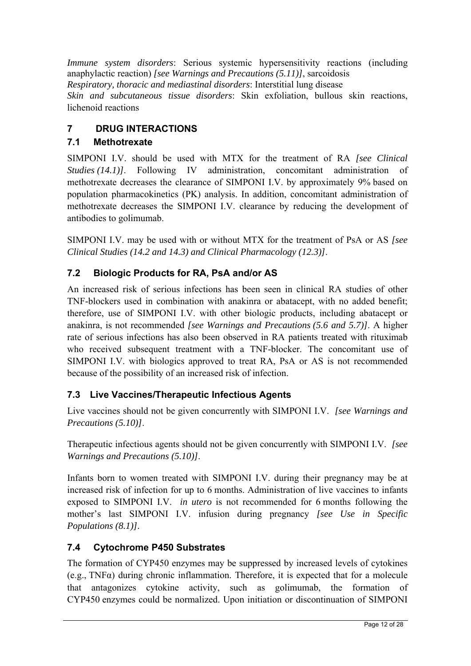*Immune system disorders*: Serious systemic hypersensitivity reactions (including anaphylactic reaction) *[see Warnings and Precautions (5.11)]*, sarcoidosis *Respiratory, thoracic and mediastinal disorders*: Interstitial lung disease *Skin and subcutaneous tissue disorders*: Skin exfoliation, bullous skin reactions, lichenoid reactions

# **7 DRUG INTERACTIONS**

# **7.1 Methotrexate**

SIMPONI I.V. should be used with MTX for the treatment of RA *[see Clinical Studies (14.1)]*. Following IV administration, concomitant administration of methotrexate decreases the clearance of SIMPONI I.V. by approximately 9% based on population pharmacokinetics (PK) analysis. In addition, concomitant administration of methotrexate decreases the SIMPONI I.V. clearance by reducing the development of antibodies to golimumab.

SIMPONI I.V. may be used with or without MTX for the treatment of PsA or AS *[see Clinical Studies (14.2 and 14.3) and Clinical Pharmacology (12.3)]*.

# **7.2 Biologic Products for RA, PsA and/or AS**

An increased risk of serious infections has been seen in clinical RA studies of other TNF-blockers used in combination with anakinra or abatacept, with no added benefit; therefore, use of SIMPONI I.V. with other biologic products, including abatacept or anakinra, is not recommended *[see Warnings and Precautions (5.6 and 5.7)]*. A higher rate of serious infections has also been observed in RA patients treated with rituximab who received subsequent treatment with a TNF-blocker. The concomitant use of SIMPONI I.V. with biologics approved to treat RA, PsA or AS is not recommended because of the possibility of an increased risk of infection.

## **7.3 Live Vaccines/Therapeutic Infectious Agents**

Live vaccines should not be given concurrently with SIMPONI I.V. *[see Warnings and Precautions (5.10)]*.

Therapeutic infectious agents should not be given concurrently with SIMPONI I.V. *[see Warnings and Precautions (5.10)]*.

Infants born to women treated with SIMPONI I.V. during their pregnancy may be at increased risk of infection for up to 6 months. Administration of live vaccines to infants exposed to SIMPONI I.V. *in utero* is not recommended for 6 months following the mother's last SIMPONI I.V. infusion during pregnancy *[see Use in Specific Populations (8.1)]*.

# **7.4 Cytochrome P450 Substrates**

The formation of CYP450 enzymes may be suppressed by increased levels of cytokines (e.g., TNFα) during chronic inflammation. Therefore, it is expected that for a molecule that antagonizes cytokine activity, such as golimumab, the formation of CYP450 enzymes could be normalized. Upon initiation or discontinuation of SIMPONI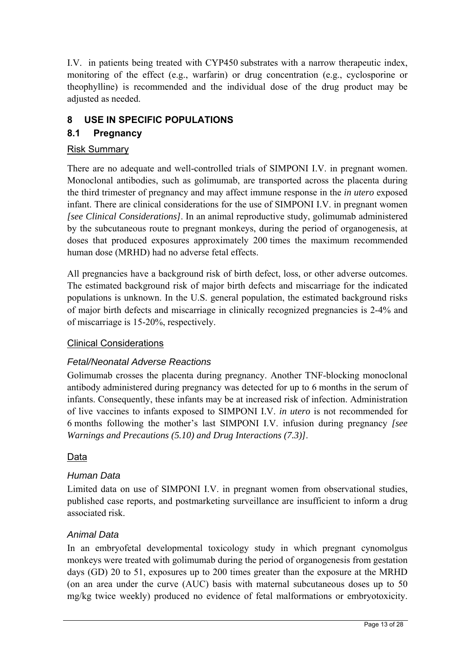I.V. in patients being treated with CYP450 substrates with a narrow therapeutic index, monitoring of the effect (e.g., warfarin) or drug concentration (e.g., cyclosporine or theophylline) is recommended and the individual dose of the drug product may be adjusted as needed.

# **8 USE IN SPECIFIC POPULATIONS**

## **8.1 Pregnancy**

## Risk Summary

There are no adequate and well-controlled trials of SIMPONI I.V. in pregnant women. Monoclonal antibodies, such as golimumab, are transported across the placenta during the third trimester of pregnancy and may affect immune response in the *in utero* exposed infant. There are clinical considerations for the use of SIMPONI I.V. in pregnant women *[see Clinical Considerations]*. In an animal reproductive study, golimumab administered by the subcutaneous route to pregnant monkeys, during the period of organogenesis, at doses that produced exposures approximately 200 times the maximum recommended human dose (MRHD) had no adverse fetal effects.

All pregnancies have a background risk of birth defect, loss, or other adverse outcomes. The estimated background risk of major birth defects and miscarriage for the indicated populations is unknown. In the U.S. general population, the estimated background risks of major birth defects and miscarriage in clinically recognized pregnancies is 2-4% and of miscarriage is 15-20%, respectively.

## Clinical Considerations

## *Fetal/Neonatal Adverse Reactions*

Golimumab crosses the placenta during pregnancy. Another TNF-blocking monoclonal antibody administered during pregnancy was detected for up to 6 months in the serum of infants. Consequently, these infants may be at increased risk of infection. Administration of live vaccines to infants exposed to SIMPONI I.V. *in utero* is not recommended for 6 months following the mother's last SIMPONI I.V. infusion during pregnancy *[see Warnings and Precautions (5.10) and Drug Interactions (7.3)]*.

## Data

## *Human Data*

Limited data on use of SIMPONI I.V. in pregnant women from observational studies, published case reports, and postmarketing surveillance are insufficient to inform a drug associated risk.

## *Animal Data*

In an embryofetal developmental toxicology study in which pregnant cynomolgus monkeys were treated with golimumab during the period of organogenesis from gestation days (GD) 20 to 51, exposures up to 200 times greater than the exposure at the MRHD (on an area under the curve (AUC) basis with maternal subcutaneous doses up to 50 mg/kg twice weekly) produced no evidence of fetal malformations or embryotoxicity.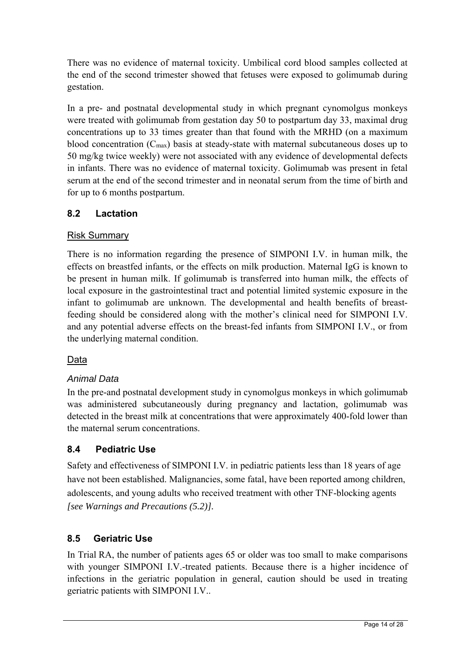There was no evidence of maternal toxicity. Umbilical cord blood samples collected at the end of the second trimester showed that fetuses were exposed to golimumab during gestation.

In a pre- and postnatal developmental study in which pregnant cynomolgus monkeys were treated with golimumab from gestation day 50 to postpartum day 33, maximal drug concentrations up to 33 times greater than that found with the MRHD (on a maximum blood concentration (Cmax) basis at steady-state with maternal subcutaneous doses up to 50 mg/kg twice weekly) were not associated with any evidence of developmental defects in infants. There was no evidence of maternal toxicity. Golimumab was present in fetal serum at the end of the second trimester and in neonatal serum from the time of birth and for up to 6 months postpartum.

# **8.2 Lactation**

## Risk Summary

There is no information regarding the presence of SIMPONI I.V. in human milk, the effects on breastfed infants, or the effects on milk production. Maternal IgG is known to be present in human milk. If golimumab is transferred into human milk, the effects of local exposure in the gastrointestinal tract and potential limited systemic exposure in the infant to golimumab are unknown. The developmental and health benefits of breastfeeding should be considered along with the mother's clinical need for SIMPONI I.V. and any potential adverse effects on the breast-fed infants from SIMPONI I.V., or from the underlying maternal condition.

## Data

## *Animal Data*

In the pre-and postnatal development study in cynomolgus monkeys in which golimumab was administered subcutaneously during pregnancy and lactation, golimumab was detected in the breast milk at concentrations that were approximately 400-fold lower than the maternal serum concentrations.

## **8.4 Pediatric Use**

Safety and effectiveness of SIMPONI I.V. in pediatric patients less than 18 years of age have not been established. Malignancies, some fatal, have been reported among children, adolescents, and young adults who received treatment with other TNF-blocking agents *[see Warnings and Precautions (5.2)].* 

## **8.5 Geriatric Use**

In Trial RA, the number of patients ages 65 or older was too small to make comparisons with younger SIMPONI I.V.-treated patients. Because there is a higher incidence of infections in the geriatric population in general, caution should be used in treating geriatric patients with SIMPONI I.V..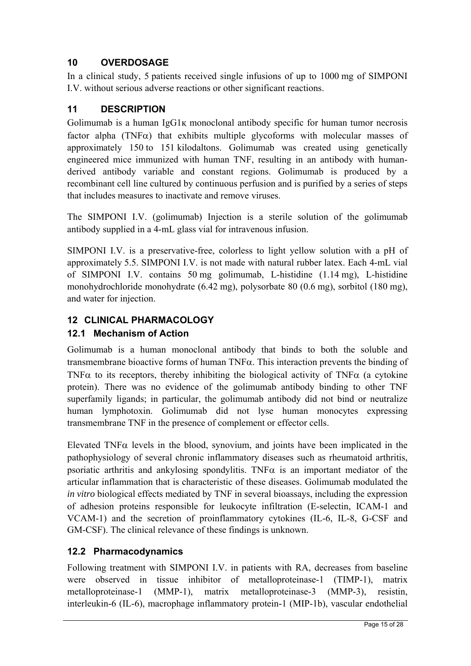## **10 OVERDOSAGE**

In a clinical study, 5 patients received single infusions of up to 1000 mg of SIMPONI I.V. without serious adverse reactions or other significant reactions.

## **11 DESCRIPTION**

Golimumab is a human IgG1қ monoclonal antibody specific for human tumor necrosis factor alpha (TNF $\alpha$ ) that exhibits multiple glycoforms with molecular masses of approximately 150 to 151 kilodaltons. Golimumab was created using genetically engineered mice immunized with human TNF, resulting in an antibody with humanderived antibody variable and constant regions. Golimumab is produced by a recombinant cell line cultured by continuous perfusion and is purified by a series of steps that includes measures to inactivate and remove viruses.

The SIMPONI I.V. (golimumab) Injection is a sterile solution of the golimumab antibody supplied in a 4-mL glass vial for intravenous infusion.

SIMPONI I.V. is a preservative-free, colorless to light yellow solution with a pH of approximately 5.5. SIMPONI I.V. is not made with natural rubber latex. Each 4-mL vial of SIMPONI I.V. contains 50 mg golimumab, L-histidine (1.14 mg), L-histidine monohydrochloride monohydrate (6.42 mg), polysorbate 80 (0.6 mg), sorbitol (180 mg), and water for injection.

## **12 CLINICAL PHARMACOLOGY**

## **12.1 Mechanism of Action**

Golimumab is a human monoclonal antibody that binds to both the soluble and transmembrane bioactive forms of human  $TNF\alpha$ . This interaction prevents the binding of TNF $\alpha$  to its receptors, thereby inhibiting the biological activity of TNF $\alpha$  (a cytokine protein). There was no evidence of the golimumab antibody binding to other TNF superfamily ligands; in particular, the golimumab antibody did not bind or neutralize human lymphotoxin. Golimumab did not lyse human monocytes expressing transmembrane TNF in the presence of complement or effector cells.

Elevated TNF $\alpha$  levels in the blood, synovium, and joints have been implicated in the pathophysiology of several chronic inflammatory diseases such as rheumatoid arthritis, psoriatic arthritis and ankylosing spondylitis. TNF $\alpha$  is an important mediator of the articular inflammation that is characteristic of these diseases. Golimumab modulated the *in vitro* biological effects mediated by TNF in several bioassays, including the expression of adhesion proteins responsible for leukocyte infiltration (E-selectin, ICAM-1 and VCAM-1) and the secretion of proinflammatory cytokines (IL-6, IL-8, G-CSF and GM-CSF). The clinical relevance of these findings is unknown.

## **12.2 Pharmacodynamics**

Following treatment with SIMPONI I.V. in patients with RA, decreases from baseline were observed in tissue inhibitor of metalloproteinase-1 (TIMP-1), matrix metalloproteinase-1 (MMP-1), matrix metalloproteinase-3 (MMP-3), resistin, interleukin-6 (IL-6), macrophage inflammatory protein-1 (MIP-1b), vascular endothelial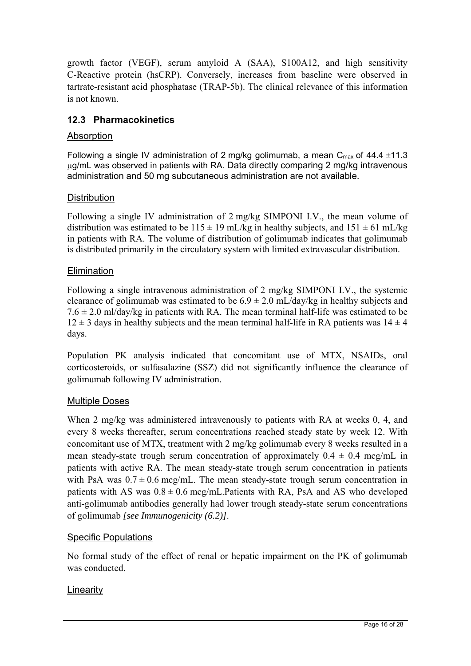growth factor (VEGF), serum amyloid A (SAA), S100A12, and high sensitivity C-Reactive protein (hsCRP). Conversely, increases from baseline were observed in tartrate-resistant acid phosphatase (TRAP-5b). The clinical relevance of this information is not known.

## **12.3 Pharmacokinetics**

## Absorption

Following a single IV administration of 2 mg/kg golimumab, a mean  $C_{\text{max}}$  of 44.4  $\pm$ 11.3 ug/mL was observed in patients with RA. Data directly comparing 2 mg/kg intravenous administration and 50 mg subcutaneous administration are not available.

## **Distribution**

Following a single IV administration of 2 mg/kg SIMPONI I.V., the mean volume of distribution was estimated to be  $115 \pm 19$  mL/kg in healthy subjects, and  $151 \pm 61$  mL/kg in patients with RA. The volume of distribution of golimumab indicates that golimumab is distributed primarily in the circulatory system with limited extravascular distribution.

## **Elimination**

Following a single intravenous administration of 2 mg/kg SIMPONI I.V., the systemic clearance of golimumab was estimated to be  $6.9 \pm 2.0$  mL/day/kg in healthy subjects and  $7.6 \pm 2.0$  ml/day/kg in patients with RA. The mean terminal half-life was estimated to be  $12 \pm 3$  days in healthy subjects and the mean terminal half-life in RA patients was  $14 \pm 4$ days.

Population PK analysis indicated that concomitant use of MTX, NSAIDs, oral corticosteroids, or sulfasalazine (SSZ) did not significantly influence the clearance of golimumab following IV administration.

## Multiple Doses

When 2 mg/kg was administered intravenously to patients with RA at weeks 0, 4, and every 8 weeks thereafter, serum concentrations reached steady state by week 12. With concomitant use of MTX, treatment with 2 mg/kg golimumab every 8 weeks resulted in a mean steady-state trough serum concentration of approximately  $0.4 \pm 0.4$  mcg/mL in patients with active RA. The mean steady-state trough serum concentration in patients with PsA was  $0.7 \pm 0.6$  mcg/mL. The mean steady-state trough serum concentration in patients with AS was  $0.8 \pm 0.6$  mcg/mL.Patients with RA, PsA and AS who developed anti-golimumab antibodies generally had lower trough steady-state serum concentrations of golimumab *[see Immunogenicity (6.2)]*.

## Specific Populations

No formal study of the effect of renal or hepatic impairment on the PK of golimumab was conducted.

## Linearity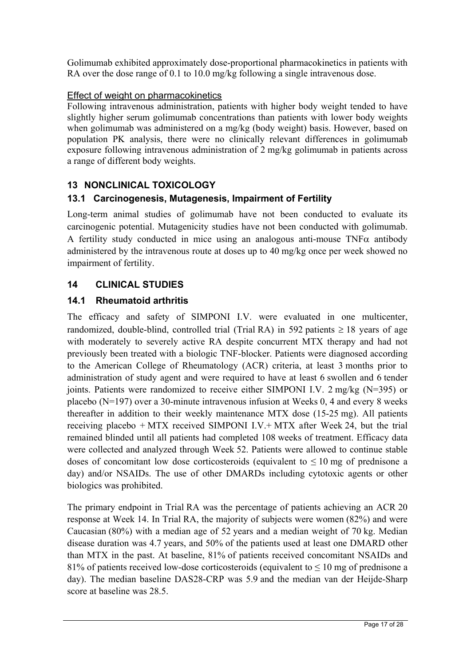Golimumab exhibited approximately dose-proportional pharmacokinetics in patients with RA over the dose range of 0.1 to 10.0 mg/kg following a single intravenous dose.

## Effect of weight on pharmacokinetics

Following intravenous administration, patients with higher body weight tended to have slightly higher serum golimumab concentrations than patients with lower body weights when golimumab was administered on a mg/kg (body weight) basis. However, based on population PK analysis, there were no clinically relevant differences in golimumab exposure following intravenous administration of 2 mg/kg golimumab in patients across a range of different body weights.

# **13 NONCLINICAL TOXICOLOGY**

## **13.1 Carcinogenesis, Mutagenesis, Impairment of Fertility**

Long-term animal studies of golimumab have not been conducted to evaluate its carcinogenic potential. Mutagenicity studies have not been conducted with golimumab. A fertility study conducted in mice using an analogous anti-mouse  $TNF\alpha$  antibody administered by the intravenous route at doses up to 40 mg/kg once per week showed no impairment of fertility.

## **14 CLINICAL STUDIES**

## **14.1 Rheumatoid arthritis**

The efficacy and safety of SIMPONI I.V. were evaluated in one multicenter, randomized, double-blind, controlled trial (Trial RA) in 592 patients  $\geq 18$  years of age with moderately to severely active RA despite concurrent MTX therapy and had not previously been treated with a biologic TNF-blocker. Patients were diagnosed according to the American College of Rheumatology (ACR) criteria, at least 3 months prior to administration of study agent and were required to have at least 6 swollen and 6 tender joints. Patients were randomized to receive either SIMPONI I.V. 2 mg/kg (N=395) or placebo (N=197) over a 30-minute intravenous infusion at Weeks 0, 4 and every 8 weeks thereafter in addition to their weekly maintenance MTX dose (15-25 mg). All patients receiving placebo + MTX received SIMPONI I.V.+ MTX after Week 24, but the trial remained blinded until all patients had completed 108 weeks of treatment. Efficacy data were collected and analyzed through Week 52. Patients were allowed to continue stable doses of concomitant low dose corticosteroids (equivalent to  $\leq 10$  mg of prednisone a day) and/or NSAIDs. The use of other DMARDs including cytotoxic agents or other biologics was prohibited.

The primary endpoint in Trial RA was the percentage of patients achieving an ACR 20 response at Week 14. In Trial RA, the majority of subjects were women (82%) and were Caucasian (80%) with a median age of 52 years and a median weight of 70 kg. Median disease duration was 4.7 years, and 50% of the patients used at least one DMARD other than MTX in the past. At baseline, 81% of patients received concomitant NSAIDs and 81% of patients received low-dose corticosteroids (equivalent to  $\leq 10$  mg of prednisone a day). The median baseline DAS28-CRP was 5.9 and the median van der Heijde-Sharp score at baseline was 28.5.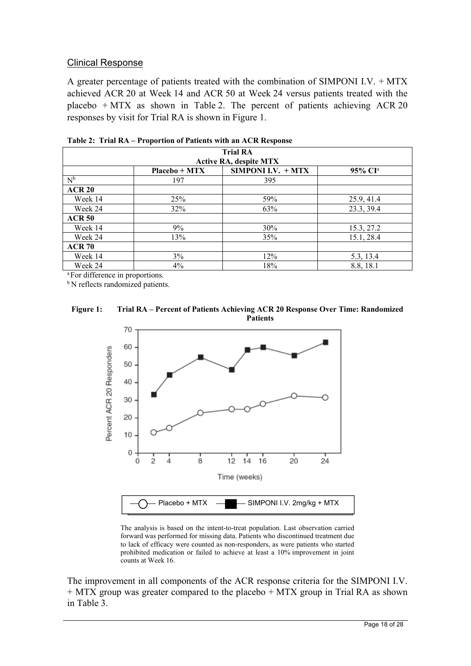#### Clinical Response

A greater percentage of patients treated with the combination of SIMPONI I.V. + MTX achieved ACR 20 at Week 14 and ACR 50 at Week 24 versus patients treated with the placebo  $+$  MTX as shown in Table 2. The percent of patients achieving ACR 20 responses by visit for Trial RA is shown in Figure 1.

| <b>Trial RA</b>                             |                 |                           |                     |  |  |  |
|---------------------------------------------|-----------------|---------------------------|---------------------|--|--|--|
| <b>Active RA, despite MTX</b>               |                 |                           |                     |  |  |  |
|                                             | $Placebo + MTX$ | <b>SIMPONI I.V. + MTX</b> | 95% CI <sup>a</sup> |  |  |  |
| $N^b$                                       | 197             | 395                       |                     |  |  |  |
| <b>ACR 20</b>                               |                 |                           |                     |  |  |  |
| Week 14                                     | 25%             | 59%                       | 25.9, 41.4          |  |  |  |
| Week 24                                     | 32%             | 63%                       | 23.3, 39.4          |  |  |  |
| <b>ACR 50</b>                               |                 |                           |                     |  |  |  |
| Week 14                                     | 9%              | 30%                       | 15.3, 27.2          |  |  |  |
| Week 24                                     | 13%             | 35%                       | 15.1, 28.4          |  |  |  |
| <b>ACR 70</b>                               |                 |                           |                     |  |  |  |
| Week 14                                     | 3%              | 12%                       | 5.3, 13.4           |  |  |  |
| Week 24                                     | 4%              | 18%                       | 8.8, 18.1           |  |  |  |
| <sup>a</sup> For difference in proportions. |                 |                           |                     |  |  |  |

**Table 2: Trial RA – Proportion of Patients with an ACR Response**

<sup>b</sup> N reflects randomized patients.

#### **Figure 1: Trial RA – Percent of Patients Achieving ACR 20 Response Over Time: Randomized Patients**



The analysis is based on the intent-to-treat population. Last observation carried forward was performed for missing data. Patients who discontinued treatment due to lack of efficacy were counted as non-responders, as were patients who started prohibited medication or failed to achieve at least a 10% improvement in joint counts at Week 16.

The improvement in all components of the ACR response criteria for the SIMPONI I.V. + MTX group was greater compared to the placebo + MTX group in Trial RA as shown in Table 3.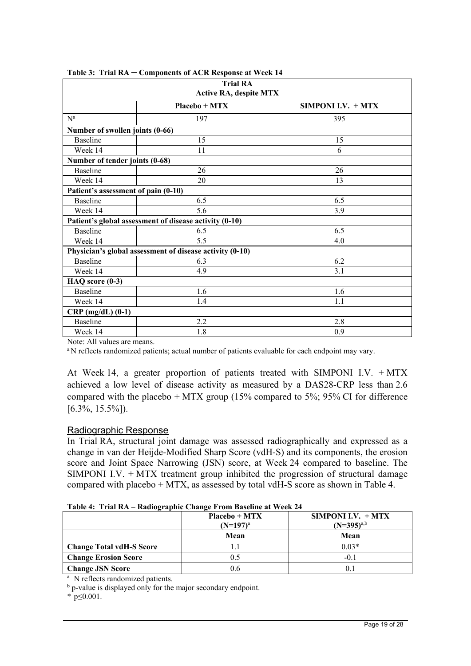| <b>Trial RA</b><br><b>Active RA, despite MTX</b> |                                                          |     |  |  |  |
|--------------------------------------------------|----------------------------------------------------------|-----|--|--|--|
| Placebo + MTX<br>SIMPONI I.V. $+$ MTX            |                                                          |     |  |  |  |
| $N^a$                                            | 197                                                      | 395 |  |  |  |
| Number of swollen joints (0-66)                  |                                                          |     |  |  |  |
| <b>Baseline</b>                                  | 15                                                       | 15  |  |  |  |
| Week 14                                          | 11                                                       | 6   |  |  |  |
| Number of tender joints (0-68)                   |                                                          |     |  |  |  |
| <b>Baseline</b>                                  | 26                                                       | 26  |  |  |  |
| Week 14                                          | 20                                                       | 13  |  |  |  |
| Patient's assessment of pain (0-10)              |                                                          |     |  |  |  |
| <b>Baseline</b>                                  | 6.5                                                      | 6.5 |  |  |  |
| Week 14                                          | 5.6                                                      | 3.9 |  |  |  |
|                                                  | Patient's global assessment of disease activity (0-10)   |     |  |  |  |
| <b>Baseline</b>                                  | 6.5                                                      | 6.5 |  |  |  |
| Week 14                                          | 5.5                                                      | 4.0 |  |  |  |
|                                                  | Physician's global assessment of disease activity (0-10) |     |  |  |  |
| <b>Baseline</b>                                  | 6.3                                                      | 6.2 |  |  |  |
| Week 14                                          | 4.9                                                      | 3.1 |  |  |  |
| HAQ score (0-3)                                  |                                                          |     |  |  |  |
| Baseline                                         | 1.6                                                      | 1.6 |  |  |  |
| Week 14                                          | 1.4                                                      | 1.1 |  |  |  |
| $CRP$ (mg/dL) (0-1)                              |                                                          |     |  |  |  |
| <b>Baseline</b>                                  | 2.2                                                      | 2.8 |  |  |  |
| Week 14                                          | 1.8                                                      | 0.9 |  |  |  |

**Table 3: Trial RA ─ Components of ACR Response at Week 14**

Note: All values are means.

<sup>a</sup> N reflects randomized patients; actual number of patients evaluable for each endpoint may vary.

At Week 14, a greater proportion of patients treated with SIMPONI I.V. + MTX achieved a low level of disease activity as measured by a DAS28-CRP less than 2.6 compared with the placebo  $+$  MTX group (15% compared to 5%; 95% CI for difference  $[6.3\%, 15.5\%]$ .

#### Radiographic Response

In Trial RA, structural joint damage was assessed radiographically and expressed as a change in van der Heijde-Modified Sharp Score (vdH-S) and its components, the erosion score and Joint Space Narrowing (JSN) score, at Week 24 compared to baseline. The SIMPONI I.V.  $+$  MTX treatment group inhibited the progression of structural damage compared with placebo + MTX, as assessed by total vdH-S score as shown in Table 4.

|  |  |  | Table 4: Trial RA - Radiographic Change From Baseline at Week 24 |  |  |
|--|--|--|------------------------------------------------------------------|--|--|
|--|--|--|------------------------------------------------------------------|--|--|

|                                              | $Placebo + MTX$<br>$(N=197)^a$ | SIMPONI I.V. $+$ MTX<br>$(N=395)^{a,b}$ |
|----------------------------------------------|--------------------------------|-----------------------------------------|
|                                              | Mean                           | Mean                                    |
| <b>Change Total vdH-S Score</b>              |                                | $0.03*$                                 |
| <b>Change Erosion Score</b>                  | 0.5                            | $-0.1$                                  |
| <b>Change JSN Score</b>                      | 0.6                            | 0.1                                     |
| <sup>a</sup> N reflects randomized patients. |                                |                                         |

<sup>b</sup> p-value is displayed only for the major secondary endpoint.

\* p≤0.001.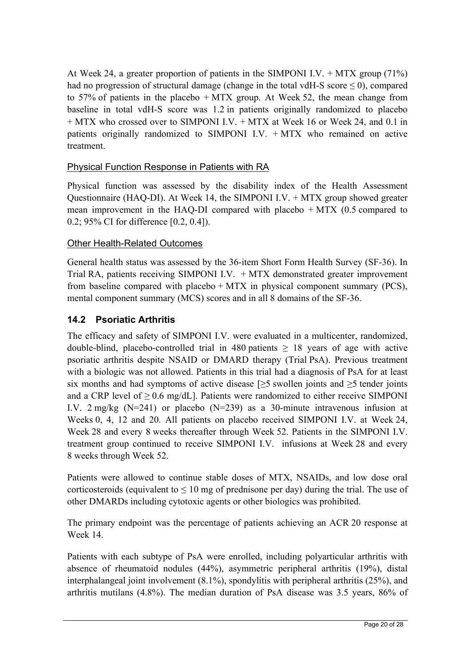At Week 24, a greater proportion of patients in the SIMPONI I.V.  $+$  MTX group (71%) had no progression of structural damage (change in the total vdH-S score  $\leq$  0), compared to 57% of patients in the placebo + MTX group. At Week 52, the mean change from baseline in total vdH-S score was 1.2 in patients originally randomized to placebo + MTX who crossed over to SIMPONI I.V. + MTX at Week 16 or Week 24, and 0.1 in patients originally randomized to SIMPONI I.V. + MTX who remained on active treatment.

## Physical Function Response in Patients with RA

Physical function was assessed by the disability index of the Health Assessment Questionnaire (HAQ-DI). At Week 14, the SIMPONI I.V. + MTX group showed greater mean improvement in the HAQ-DI compared with placebo + MTX (0.5 compared to 0.2; 95% CI for difference [0.2, 0.4]).

#### Other Health-Related Outcomes

General health status was assessed by the 36-item Short Form Health Survey (SF-36). In Trial RA, patients receiving SIMPONI I.V. + MTX demonstrated greater improvement from baseline compared with placebo  $+$  MTX in physical component summary (PCS), mental component summary (MCS) scores and in all 8 domains of the SF-36.

## **14.2 Psoriatic Arthritis**

The efficacy and safety of SIMPONI I.V. were evaluated in a multicenter, randomized, double-blind, placebo-controlled trial in 480 patients  $\geq$  18 years of age with active psoriatic arthritis despite NSAID or DMARD therapy (Trial PsA). Previous treatment with a biologic was not allowed. Patients in this trial had a diagnosis of PsA for at least six months and had symptoms of active disease [ $\geq$ 5 swollen joints and  $\geq$ 5 tender joints and a CRP level of  $\geq 0.6$  mg/dL]. Patients were randomized to either receive SIMPONI I.V.  $2 \text{ mg/kg}$  (N=241) or placebo (N=239) as a 30-minute intravenous infusion at Weeks 0, 4, 12 and 20. All patients on placebo received SIMPONI I.V. at Week 24, Week 28 and every 8 weeks thereafter through Week 52. Patients in the SIMPONI I.V. treatment group continued to receive SIMPONI I.V. infusions at Week 28 and every 8 weeks through Week 52.

Patients were allowed to continue stable doses of MTX, NSAIDs, and low dose oral corticosteroids (equivalent to  $\leq 10$  mg of prednisone per day) during the trial. The use of other DMARDs including cytotoxic agents or other biologics was prohibited.

The primary endpoint was the percentage of patients achieving an ACR 20 response at Week 14.

Patients with each subtype of PsA were enrolled, including polyarticular arthritis with absence of rheumatoid nodules (44%), asymmetric peripheral arthritis (19%), distal interphalangeal joint involvement (8.1%), spondylitis with peripheral arthritis (25%), and arthritis mutilans (4.8%). The median duration of PsA disease was 3.5 years, 86% of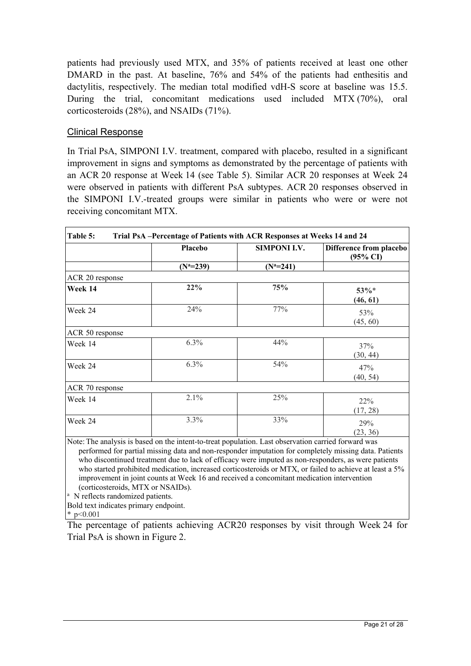patients had previously used MTX, and 35% of patients received at least one other DMARD in the past. At baseline, 76% and 54% of the patients had enthesitis and dactylitis, respectively. The median total modified vdH-S score at baseline was 15.5. During the trial, concomitant medications used included MTX (70%), oral corticosteroids (28%), and NSAIDs (71%).

#### Clinical Response

In Trial PsA, SIMPONI I.V. treatment, compared with placebo, resulted in a significant improvement in signs and symptoms as demonstrated by the percentage of patients with an ACR 20 response at Week 14 (see Table 5). Similar ACR 20 responses at Week 24 were observed in patients with different PsA subtypes. ACR 20 responses observed in the SIMPONI I.V.-treated groups were similar in patients who were or were not receiving concomitant MTX.

|                 | <b>Placebo</b> | <b>SIMPONI I.V.</b> | Difference from placebo<br>$(95\% \text{ CI})$ |
|-----------------|----------------|---------------------|------------------------------------------------|
|                 | $(N^a=239)$    | $(N^a=241)$         |                                                |
| ACR 20 response |                |                     |                                                |
| Week 14         | 22%            | 75%                 | 53%*<br>(46, 61)                               |
| Week 24         | 24%            | 77%                 | 53%<br>(45, 60)                                |
| ACR 50 response |                |                     |                                                |
| Week 14         | $6.3\%$        | 44%                 | 37%<br>(30, 44)                                |
| Week 24         | $6.3\%$        | 54%                 | 47%<br>(40, 54)                                |
| ACR 70 response |                |                     |                                                |
| Week 14         | 2.1%           | 25%                 | 22%<br>(17, 28)                                |
| Week 24         | 3.3%           | 33%                 | 29%<br>(23, 36)                                |

who discontinued treatment due to lack of efficacy were imputed as non-responders, as were patients who started prohibited medication, increased corticosteroids or MTX, or failed to achieve at least a 5% improvement in joint counts at Week 16 and received a concomitant medication intervention (corticosteroids, MTX or NSAIDs).

 $\alpha$  N reflects randomized patients.

Bold text indicates primary endpoint.

\* p<0.001

The percentage of patients achieving ACR20 responses by visit through Week 24 for Trial PsA is shown in Figure 2.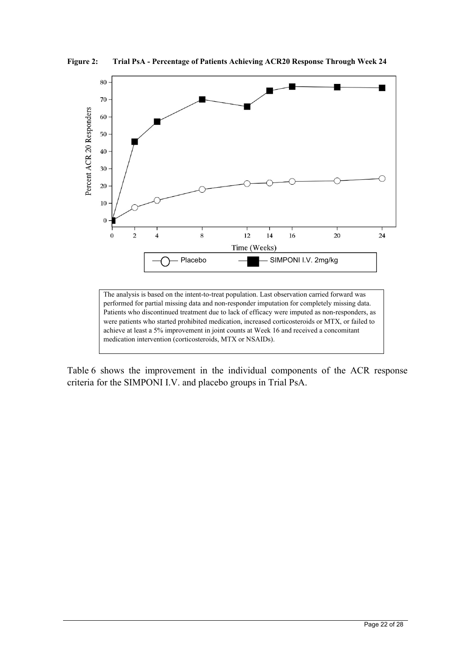

**Figure 2: Trial PsA - Percentage of Patients Achieving ACR20 Response Through Week 24** 

Patients who discontinued treatment due to lack of efficacy were imputed as non-responders, as were patients who started prohibited medication, increased corticosteroids or MTX, or failed to achieve at least a 5% improvement in joint counts at Week 16 and received a concomitant medication intervention (corticosteroids, MTX or NSAIDs).

Table 6 shows the improvement in the individual components of the ACR response criteria for the SIMPONI I.V. and placebo groups in Trial PsA.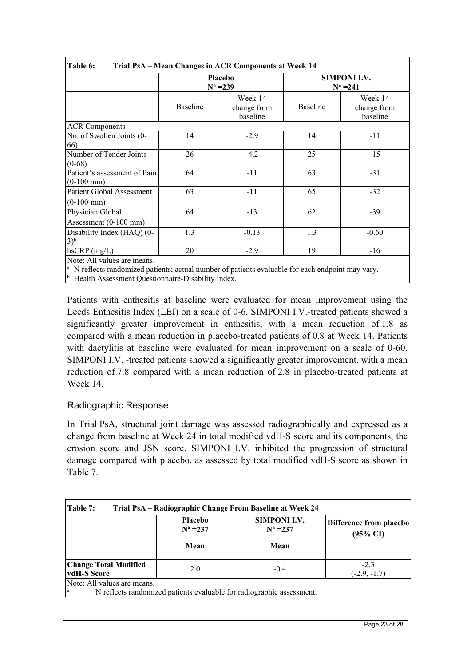|                                                  | Placebo<br>$N^a = 239$ |                                    |          | <b>SIMPONI I.V.</b><br>$N^a = 241$ |
|--------------------------------------------------|------------------------|------------------------------------|----------|------------------------------------|
|                                                  | Baseline               | Week 14<br>change from<br>baseline | Baseline | Week 14<br>change from<br>baseline |
| <b>ACR Components</b>                            |                        |                                    |          |                                    |
| No. of Swollen Joints (0-<br>66)                 | 14                     | $-2.9$                             | 14       | $-11$                              |
| Number of Tender Joints<br>$(0-68)$              | 26                     | $-4.2$                             | 25       | $-15$                              |
| Patient's assessment of Pain<br>$(0-100$ mm $)$  | 64                     | $-11$                              | 63       | $-31$                              |
| <b>Patient Global Assessment</b><br>$(0-100$ mm) | 63                     | $-11$                              | 65       | $-32$                              |
| Physician Global<br>Assessment $(0-100$ mm)      | 64                     | $-13$                              | 62       | $-39$                              |
| Disability Index (HAQ) (0-<br>$(3)^{b}$          | 1.3                    | $-0.13$                            | 1.3      | $-0.60$                            |
| $hscRP$ (mg/L)                                   | 20                     | $-2.9$                             | 19       | $-16$                              |

<sup>a</sup> N reflects randomized patients; actual number of patients evaluable for each endpoint may vary.

<sup>b</sup> Health Assessment Questionnaire-Disability Index.

Patients with enthesitis at baseline were evaluated for mean improvement using the Leeds Enthesitis Index (LEI) on a scale of 0-6. SIMPONI I.V.-treated patients showed a significantly greater improvement in enthesitis, with a mean reduction of 1.8 as compared with a mean reduction in placebo-treated patients of 0.8 at Week 14. Patients with dactylitis at baseline were evaluated for mean improvement on a scale of 0-60. SIMPONI I.V. -treated patients showed a significantly greater improvement, with a mean reduction of 7.8 compared with a mean reduction of 2.8 in placebo-treated patients at Week 14.

## Radiographic Response

In Trial PsA, structural joint damage was assessed radiographically and expressed as a change from baseline at Week 24 in total modified vdH-S score and its components, the erosion score and JSN score. SIMPONI I.V. inhibited the progression of structural damage compared with placebo, as assessed by total modified vdH-S score as shown in Table 7.

| Table 7:                                    |                                                                                                                | Trial PsA – Radiographic Change From Baseline at Week 24              |                          |  |  |
|---------------------------------------------|----------------------------------------------------------------------------------------------------------------|-----------------------------------------------------------------------|--------------------------|--|--|
|                                             | <b>SIMPONI I.V.</b><br>Placebo<br>Difference from placebo<br>$N^a = 237$<br>$N^a = 237$<br>$(95\% \text{ CI})$ |                                                                       |                          |  |  |
|                                             | Mean                                                                                                           | Mean                                                                  |                          |  |  |
| <b>Change Total Modified</b><br>vdH-S Score | 2.0                                                                                                            | $-0.4$                                                                | $-2.3$<br>$(-2.9, -1.7)$ |  |  |
| Note: All values are means.<br>a            |                                                                                                                | N reflects randomized patients evaluable for radiographic assessment. |                          |  |  |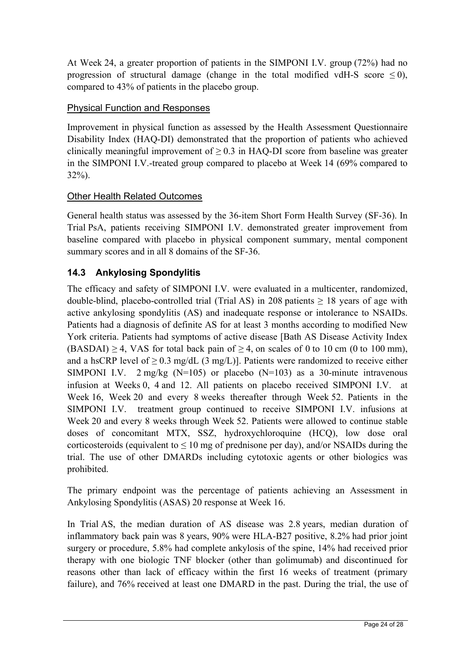At Week 24, a greater proportion of patients in the SIMPONI I.V. group (72%) had no progression of structural damage (change in the total modified vdH-S score  $\leq$  0), compared to 43% of patients in the placebo group.

## Physical Function and Responses

Improvement in physical function as assessed by the Health Assessment Questionnaire Disability Index (HAQ-DI) demonstrated that the proportion of patients who achieved clinically meaningful improvement of  $\geq 0.3$  in HAQ-DI score from baseline was greater in the SIMPONI I.V.-treated group compared to placebo at Week 14 (69% compared to 32%).

## Other Health Related Outcomes

General health status was assessed by the 36-item Short Form Health Survey (SF-36). In Trial PsA, patients receiving SIMPONI I.V. demonstrated greater improvement from baseline compared with placebo in physical component summary, mental component summary scores and in all 8 domains of the SF-36.

# **14.3 Ankylosing Spondylitis**

The efficacy and safety of SIMPONI I.V. were evaluated in a multicenter, randomized, double-blind, placebo-controlled trial (Trial AS) in 208 patients  $\geq$  18 years of age with active ankylosing spondylitis (AS) and inadequate response or intolerance to NSAIDs. Patients had a diagnosis of definite AS for at least 3 months according to modified New York criteria. Patients had symptoms of active disease [Bath AS Disease Activity Index  $(BASDAI) \geq 4$ , VAS for total back pain of  $\geq 4$ , on scales of 0 to 10 cm (0 to 100 mm), and a hsCRP level of  $> 0.3$  mg/dL (3 mg/L)]. Patients were randomized to receive either SIMPONI I.V.  $2 \text{ mg/kg}$  (N=105) or placebo (N=103) as a 30-minute intravenous infusion at Weeks 0, 4 and 12. All patients on placebo received SIMPONI I.V. at Week 16, Week 20 and every 8 weeks thereafter through Week 52. Patients in the SIMPONI I.V. treatment group continued to receive SIMPONI I.V. infusions at Week 20 and every 8 weeks through Week 52. Patients were allowed to continue stable doses of concomitant MTX, SSZ, hydroxychloroquine (HCQ), low dose oral corticosteroids (equivalent to  $\leq 10$  mg of prednisone per day), and/or NSAIDs during the trial. The use of other DMARDs including cytotoxic agents or other biologics was prohibited.

The primary endpoint was the percentage of patients achieving an Assessment in Ankylosing Spondylitis (ASAS) 20 response at Week 16.

In Trial AS, the median duration of AS disease was 2.8 years, median duration of inflammatory back pain was 8 years, 90% were HLA-B27 positive, 8.2% had prior joint surgery or procedure, 5.8% had complete ankylosis of the spine, 14% had received prior therapy with one biologic TNF blocker (other than golimumab) and discontinued for reasons other than lack of efficacy within the first 16 weeks of treatment (primary failure), and 76% received at least one DMARD in the past. During the trial, the use of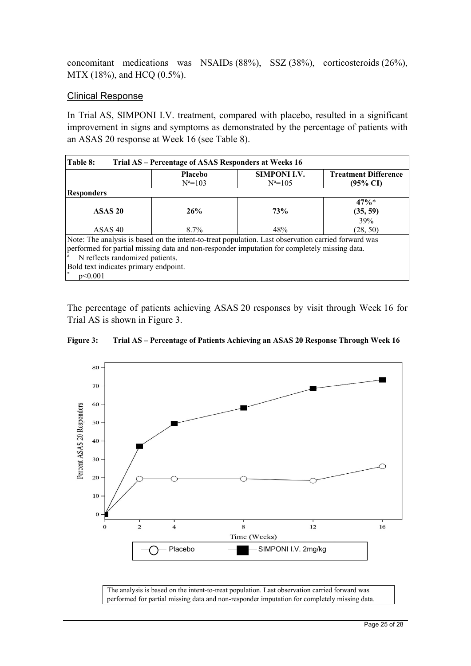concomitant medications was NSAIDs (88%), SSZ (38%), corticosteroids (26%), MTX (18%), and HCQ (0.5%).

#### Clinical Response

In Trial AS, SIMPONI I.V. treatment, compared with placebo, resulted in a significant improvement in signs and symptoms as demonstrated by the percentage of patients with an ASAS 20 response at Week 16 (see Table 8).

| Table 8:<br>Trial AS - Percentage of ASAS Responders at Weeks 16                                    |                                                                                              |                     |                             |  |  |  |
|-----------------------------------------------------------------------------------------------------|----------------------------------------------------------------------------------------------|---------------------|-----------------------------|--|--|--|
|                                                                                                     | <b>Placebo</b>                                                                               | <b>SIMPONI I.V.</b> | <b>Treatment Difference</b> |  |  |  |
|                                                                                                     | $N^a = 103$                                                                                  | $N^a = 105$         | $(95\% \text{ CI})$         |  |  |  |
| <b>Responders</b>                                                                                   |                                                                                              |                     |                             |  |  |  |
|                                                                                                     |                                                                                              |                     | $47\%*$                     |  |  |  |
| ASAS <sub>20</sub>                                                                                  | 26%                                                                                          | <b>73%</b>          | (35, 59)                    |  |  |  |
|                                                                                                     |                                                                                              |                     | 39%                         |  |  |  |
| ASAS <sub>40</sub>                                                                                  | $8.7\%$                                                                                      | 48%                 | (28, 50)                    |  |  |  |
| Note: The analysis is based on the intent-to-treat population. Last observation carried forward was |                                                                                              |                     |                             |  |  |  |
|                                                                                                     | performed for partial missing data and non-responder imputation for completely missing data. |                     |                             |  |  |  |
| N reflects randomized patients.<br>a                                                                |                                                                                              |                     |                             |  |  |  |
| Bold text indicates primary endpoint.                                                               |                                                                                              |                     |                             |  |  |  |
| $\ast$<br>p<0.001                                                                                   |                                                                                              |                     |                             |  |  |  |

The percentage of patients achieving ASAS 20 responses by visit through Week 16 for Trial AS is shown in Figure 3.



**Figure 3: Trial AS – Percentage of Patients Achieving an ASAS 20 Response Through Week 16** 

The analysis is based on the intent-to-treat population. Last observation carried forward was performed for partial missing data and non-responder imputation for completely missing data.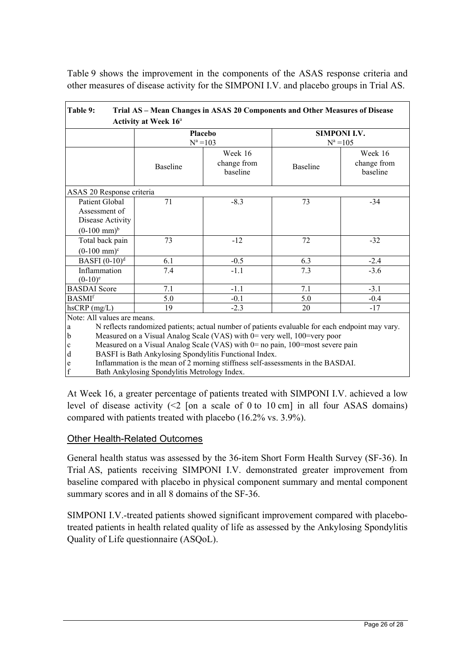Table 9 shows the improvement in the components of the ASAS response criteria and other measures of disease activity for the SIMPONI I.V. and placebo groups in Trial AS.

| Trial AS - Mean Changes in ASAS 20 Components and Other Measures of Disease<br><b>Table 9:</b>                                                                                                                                                                                                                                                                                                                                                                                |                                              |                                    |                 |                                    |  |  |
|-------------------------------------------------------------------------------------------------------------------------------------------------------------------------------------------------------------------------------------------------------------------------------------------------------------------------------------------------------------------------------------------------------------------------------------------------------------------------------|----------------------------------------------|------------------------------------|-----------------|------------------------------------|--|--|
|                                                                                                                                                                                                                                                                                                                                                                                                                                                                               | Activity at Week 16 <sup>a</sup>             |                                    |                 |                                    |  |  |
|                                                                                                                                                                                                                                                                                                                                                                                                                                                                               | Placebo<br>$N^a = 103$                       |                                    |                 | <b>SIMPONI I.V.</b><br>$N^a = 105$ |  |  |
|                                                                                                                                                                                                                                                                                                                                                                                                                                                                               | Baseline                                     | Week 16<br>change from<br>baseline | <b>Baseline</b> | Week 16<br>change from<br>baseline |  |  |
| ASAS 20 Response criteria                                                                                                                                                                                                                                                                                                                                                                                                                                                     |                                              |                                    |                 |                                    |  |  |
| Patient Global<br>Assessment of<br>Disease Activity<br>$(0-100 \text{ mm})^b$                                                                                                                                                                                                                                                                                                                                                                                                 | 71                                           | $-8.3$                             | 73              | $-34$                              |  |  |
| Total back pain<br>$(0-100 \text{ mm})^c$                                                                                                                                                                                                                                                                                                                                                                                                                                     | 73                                           | $-12$                              | 72              | $-32$                              |  |  |
| BASFI $(0-10)^d$                                                                                                                                                                                                                                                                                                                                                                                                                                                              | 6.1                                          | $-0.5$                             | 6.3             | $-2.4$                             |  |  |
| Inflammation<br>$(0-10)^e$                                                                                                                                                                                                                                                                                                                                                                                                                                                    | 7.4                                          | $-1.1$                             | 7.3             | $-3.6$                             |  |  |
| <b>BASDAI</b> Score                                                                                                                                                                                                                                                                                                                                                                                                                                                           | 7.1                                          | $-1.1$                             | 7.1             | $-3.1$                             |  |  |
| <b>BASMI</b> <sup>f</sup>                                                                                                                                                                                                                                                                                                                                                                                                                                                     | 5.0                                          | $-0.1$                             | 5.0             | $-0.4$                             |  |  |
| $h$ sCRP $(mg/L)$                                                                                                                                                                                                                                                                                                                                                                                                                                                             | 19                                           | $-2.3$                             | 20              | $-17$                              |  |  |
| Note: All values are means.<br>N reflects randomized patients; actual number of patients evaluable for each endpoint may vary.<br>a<br>Measured on a Visual Analog Scale (VAS) with 0= very well, 100=very poor<br>b<br>Measured on a Visual Analog Scale (VAS) with $0=$ no pain, 100=most severe pain<br>$\mathbf c$<br>BASFI is Bath Ankylosing Spondylitis Functional Index.<br>d<br>Inflammation is the mean of 2 morning stiffness self-assessments in the BASDAI.<br>e |                                              |                                    |                 |                                    |  |  |
| $\mathbf f$                                                                                                                                                                                                                                                                                                                                                                                                                                                                   | Bath Ankylosing Spondylitis Metrology Index. |                                    |                 |                                    |  |  |

At Week 16, a greater percentage of patients treated with SIMPONI I.V. achieved a low level of disease activity  $\leq 2$  [on a scale of 0 to 10 cm] in all four ASAS domains) compared with patients treated with placebo (16.2% vs. 3.9%).

#### Other Health-Related Outcomes

General health status was assessed by the 36-item Short Form Health Survey (SF-36). In Trial AS, patients receiving SIMPONI I.V. demonstrated greater improvement from baseline compared with placebo in physical component summary and mental component summary scores and in all 8 domains of the SF-36.

SIMPONI I.V.-treated patients showed significant improvement compared with placebotreated patients in health related quality of life as assessed by the Ankylosing Spondylitis Quality of Life questionnaire (ASQoL).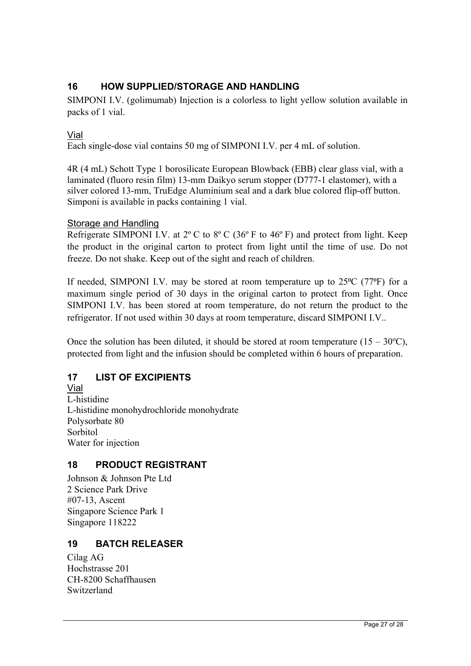## **16 HOW SUPPLIED/STORAGE AND HANDLING**

SIMPONI I.V. (golimumab) Injection is a colorless to light yellow solution available in packs of 1 vial.

#### Vial

Each single-dose vial contains 50 mg of SIMPONI I.V. per 4 mL of solution.

4R (4 mL) Schott Type 1 borosilicate European Blowback (EBB) clear glass vial, with a laminated (fluoro resin film) 13-mm Daikyo serum stopper (D777-1 elastomer), with a silver colored 13-mm, TruEdge Aluminium seal and a dark blue colored flip-off button. Simponi is available in packs containing 1 vial.

#### Storage and Handling

Refrigerate SIMPONI I.V. at  $2^{\circ}$  C to  $8^{\circ}$  C (36 $^{\circ}$  F to 46 $^{\circ}$  F) and protect from light. Keep the product in the original carton to protect from light until the time of use. Do not freeze. Do not shake. Keep out of the sight and reach of children.

If needed, SIMPONI I.V. may be stored at room temperature up to  $25^{\circ}C$  (77 $^{\circ}F$ ) for a maximum single period of 30 days in the original carton to protect from light. Once SIMPONI I.V. has been stored at room temperature, do not return the product to the refrigerator. If not used within 30 days at room temperature, discard SIMPONI I.V..

Once the solution has been diluted, it should be stored at room temperature  $(15 - 30^{\circ}C)$ , protected from light and the infusion should be completed within 6 hours of preparation.

## **17 LIST OF EXCIPIENTS**

Vial L-histidine L-histidine monohydrochloride monohydrate Polysorbate 80 Sorbitol Water for injection

## **18 PRODUCT REGISTRANT**

Johnson & Johnson Pte Ltd 2 Science Park Drive #07-13, Ascent Singapore Science Park 1 Singapore 118222

## **19 BATCH RELEASER**

Cilag AG Hochstrasse 201 CH-8200 Schaffhausen Switzerland